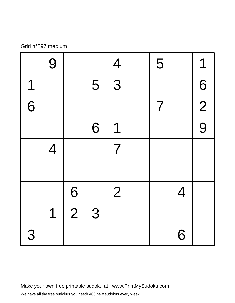#### Grid n°897 medium

|   | 9              |             |   | $\overline{4}$ | 5                        |                | 1              |
|---|----------------|-------------|---|----------------|--------------------------|----------------|----------------|
| 1 |                |             | 5 | 3              |                          |                | 6              |
| 6 |                |             |   |                | $\overline{\mathcal{I}}$ |                | $\overline{2}$ |
|   |                |             | 6 | 1              |                          |                | 9              |
|   | $\overline{4}$ |             |   | $\overline{7}$ |                          |                |                |
|   |                |             |   |                |                          |                |                |
|   |                | 6           |   | 2              |                          | $\overline{4}$ |                |
|   | 1              | $\boxed{2}$ | 3 |                |                          |                |                |
| 3 |                |             |   |                |                          | 6              |                |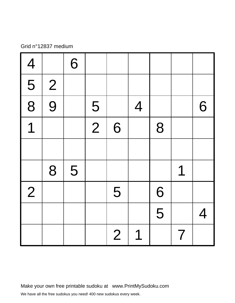## Grid n°12837 medium

| $\overline{\mathcal{A}}$  |                | 6 |               |                |                |   |                |   |
|---------------------------|----------------|---|---------------|----------------|----------------|---|----------------|---|
| $\overline{\overline{5}}$ | $\overline{2}$ |   |               |                |                |   |                |   |
| $\frac{1}{8}$             | 9              |   | 5             |                | $\overline{4}$ |   |                | 6 |
| $\overline{1}$            |                |   | $\frac{1}{2}$ | 6              |                | 8 |                |   |
|                           |                |   |               |                |                |   |                |   |
|                           | 8              | 5 |               |                |                |   | 1              |   |
| $\overline{2}$            |                |   |               | 5              |                | 6 |                |   |
|                           |                |   |               |                |                | 5 |                | 4 |
|                           |                |   |               | $\overline{2}$ | 1              |   | $\overline{7}$ |   |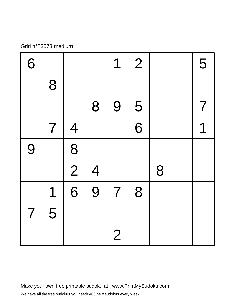# Grid n°83573 medium

| 6                        |                |                |                | 1              | $\overline{2}$ |   | 5                        |
|--------------------------|----------------|----------------|----------------|----------------|----------------|---|--------------------------|
|                          | 8              |                |                |                |                |   |                          |
|                          |                |                | 8              | 9              | 5              |   | $\overline{\mathcal{I}}$ |
|                          | $\overline{7}$ | $\overline{4}$ |                |                | 6              |   | 1                        |
| 9                        |                | 8              |                |                |                |   |                          |
|                          |                | $\boxed{2}$    | $\overline{4}$ |                |                | 8 |                          |
|                          | 1              | $\overline{6}$ | 9              | $\overline{7}$ | 8              |   |                          |
| $\overline{\mathcal{L}}$ | 5              |                |                |                |                |   |                          |
|                          |                |                |                | $\overline{2}$ |                |   |                          |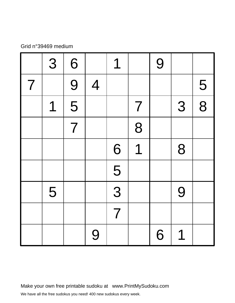## Grid n°39469 medium

|                | 3 | 6              |                | 1                         |                | 9 |   |   |
|----------------|---|----------------|----------------|---------------------------|----------------|---|---|---|
| $\overline{7}$ |   | 9              | $\overline{4}$ |                           |                |   |   | 5 |
|                | 1 | 5              |                |                           | $\overline{7}$ |   | 3 | 8 |
|                |   | $\overline{7}$ |                |                           | 8              |   |   |   |
|                |   |                |                | 6                         | 1              |   | 8 |   |
|                |   |                |                | $\overline{\overline{5}}$ |                |   |   |   |
|                | 5 |                |                | $\frac{1}{3}$             |                |   | 9 |   |
|                |   |                |                | $\overline{7}$            |                |   |   |   |
|                |   |                | 9              |                           |                | 6 | 1 |   |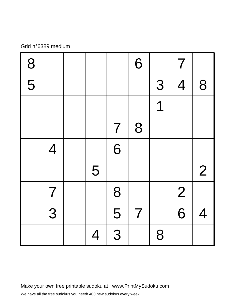## Grid n°6389 medium

| 8                                    |                |   |                | 6              |   | $\overline{\mathcal{I}}$ |                |
|--------------------------------------|----------------|---|----------------|----------------|---|--------------------------|----------------|
| $\overline{\overline{\overline{5}}}$ |                |   |                |                | 3 | $\overline{4}$           | 8              |
|                                      |                |   |                |                | 1 |                          |                |
|                                      |                |   | $\overline{7}$ | 8              |   |                          |                |
|                                      | $\overline{4}$ |   | 6              |                |   |                          |                |
|                                      |                | 5 |                |                |   |                          | $\overline{2}$ |
|                                      | $\overline{7}$ |   | 8              |                |   | $\overline{2}$           |                |
|                                      | 3              |   | 5              | $\overline{7}$ |   | 6                        | $\overline{4}$ |
|                                      |                | 4 | 3              |                | 8 |                          |                |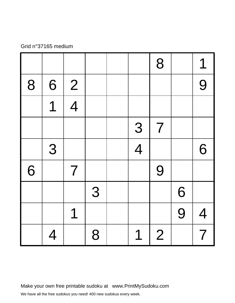## Grid n°37165 medium

|   |                          |                |   |                | 8              |   | 1                        |
|---|--------------------------|----------------|---|----------------|----------------|---|--------------------------|
| 8 | 6                        | $\overline{2}$ |   |                |                |   | 9                        |
|   | $\overline{\mathcal{L}}$ | $\overline{4}$ |   |                |                |   |                          |
|   |                          |                |   | 3              | $\overline{7}$ |   |                          |
|   | 3                        |                |   | $\overline{4}$ |                |   | 6                        |
| 6 |                          | $\overline{7}$ |   |                | 9              |   |                          |
|   |                          |                | 3 |                |                | 6 |                          |
|   |                          | 1              |   |                |                | 9 | $\overline{4}$           |
|   | $\overline{4}$           |                | 8 | 1              | $\overline{2}$ |   | $\overline{\mathcal{I}}$ |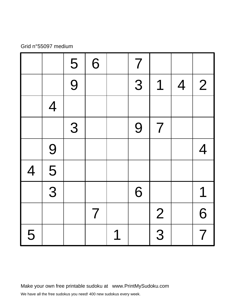## Grid n°55097 medium

|                |                | 5              | 6              |   | $\overline{7}$ |                          |                |                |
|----------------|----------------|----------------|----------------|---|----------------|--------------------------|----------------|----------------|
|                |                | $\overline{9}$ |                |   | 3              | 1                        | $\overline{4}$ | $\overline{2}$ |
|                | $\overline{4}$ |                |                |   |                |                          |                |                |
|                |                | 3              |                |   | 9              | $\overline{\mathcal{L}}$ |                |                |
|                | 9              |                |                |   |                |                          |                | $\overline{4}$ |
| $\overline{4}$ | 5              |                |                |   |                |                          |                |                |
|                | $\overline{3}$ |                |                |   | 6              |                          |                | 1              |
|                |                |                | $\overline{7}$ |   |                | $\overline{2}$           |                | 6              |
| 5              |                |                |                | 1 |                | $\frac{1}{3}$            |                | $\overline{7}$ |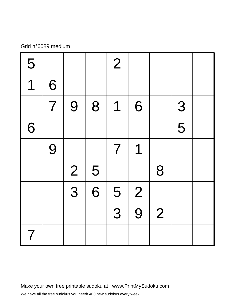## Grid n°6089 medium

| 5              |                |                |                | $\overline{2}$ |                |                |   |  |
|----------------|----------------|----------------|----------------|----------------|----------------|----------------|---|--|
| 1              | 6              |                |                |                |                |                |   |  |
|                | $\overline{7}$ | 9              | 8              | 1              | 6              |                | 3 |  |
| 6              |                |                |                |                |                |                | 5 |  |
|                | 9              |                |                | $\overline{7}$ | 1              |                |   |  |
|                |                | $\overline{2}$ | 5              |                |                | 8              |   |  |
|                |                | $\frac{1}{3}$  | $\overline{6}$ | 5              | $\overline{2}$ |                |   |  |
|                |                |                |                | 3              | 9              | $\overline{2}$ |   |  |
| $\overline{7}$ |                |                |                |                |                |                |   |  |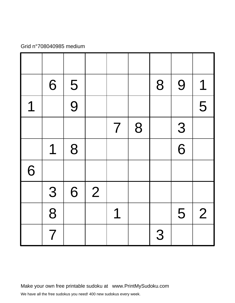## Grid n°708040985 medium

|   | 6              | 5 |                |                |   | 8 | 9              | 1              |
|---|----------------|---|----------------|----------------|---|---|----------------|----------------|
| 1 |                | 9 |                |                |   |   |                | 5              |
|   |                |   |                | $\overline{7}$ | 8 |   | 3              |                |
|   | 1              | 8 |                |                |   |   | $\overline{6}$ |                |
| 6 |                |   |                |                |   |   |                |                |
|   | 3              | 6 | $\overline{2}$ |                |   |   |                |                |
|   | 8              |   |                | 1              |   |   | 5              | $\overline{2}$ |
|   | $\overline{7}$ |   |                |                |   | 3 |                |                |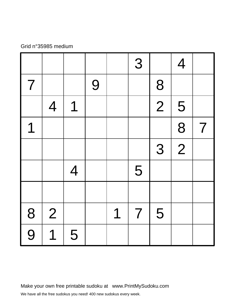#### Grid n°35985 medium

|                |                |                |   |   | 3              |                | $\overline{4}$ |                |
|----------------|----------------|----------------|---|---|----------------|----------------|----------------|----------------|
| $\overline{7}$ |                |                | 9 |   |                | 8              |                |                |
|                | $\overline{4}$ | 1              |   |   |                | $\overline{2}$ | 5              |                |
| 1              |                |                |   |   |                |                | 8              | $\overline{7}$ |
|                |                |                |   |   |                | 3              | $\overline{2}$ |                |
|                |                | $\overline{4}$ |   |   | 5              |                |                |                |
|                |                |                |   |   |                |                |                |                |
|                | 2              |                |   | 1 | $\overline{7}$ | 5              |                |                |
| $\frac{8}{9}$  | 1              | 5              |   |   |                |                |                |                |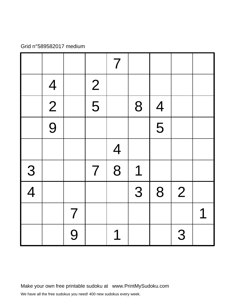#### Grid n°589582017 medium

|               |                |                |                | $\overline{7}$ |   |                |                |   |
|---------------|----------------|----------------|----------------|----------------|---|----------------|----------------|---|
|               | $\overline{4}$ |                | $\overline{2}$ |                |   |                |                |   |
|               | $\overline{2}$ |                | $\overline{5}$ |                | 8 | $\overline{4}$ |                |   |
|               | 9              |                |                |                |   | 5              |                |   |
|               |                |                |                | $\overline{4}$ |   |                |                |   |
| $\frac{3}{4}$ |                |                | $\overline{7}$ | 8              | 1 |                |                |   |
|               |                |                |                |                | 3 | 8              | $\overline{2}$ |   |
|               |                | $\overline{7}$ |                |                |   |                |                | 1 |
|               |                | 9              |                | 1              |   |                | 3              |   |